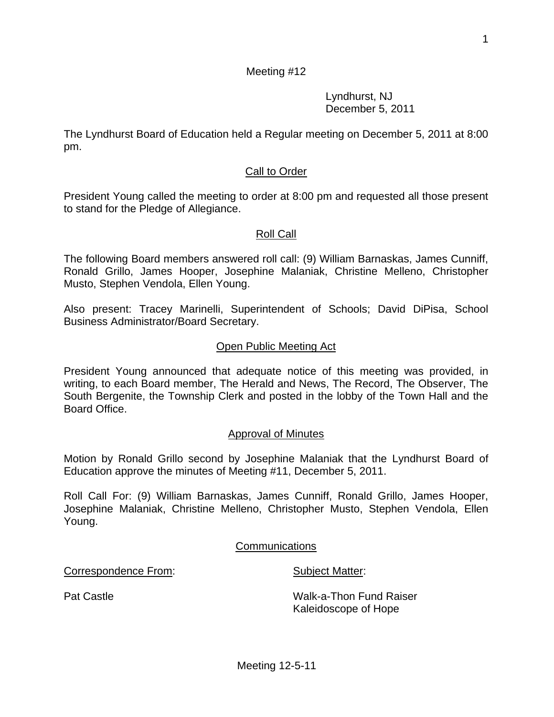1

### Kaleidoscope of Hope

# Meeting 12-5-11

Board Office.

pm.

Approval of Minutes

Motion by Ronald Grillo second by Josephine Malaniak that the Lyndhurst Board of Education approve the minutes of Meeting #11, December 5, 2011.

Roll Call For: (9) William Barnaskas, James Cunniff, Ronald Grillo, James Hooper, Josephine Malaniak, Christine Melleno, Christopher Musto, Stephen Vendola, Ellen Young.

The following Board members answered roll call: (9) William Barnaskas, James Cunniff, Ronald Grillo, James Hooper, Josephine Malaniak, Christine Melleno, Christopher Musto, Stephen Vendola, Ellen Young.

President Young called the meeting to order at 8:00 pm and requested all those present to stand for the Pledge of Allegiance.

Call to Order

Meeting #12

The Lyndhurst Board of Education held a Regular meeting on December 5, 2011 at 8:00

Lyndhurst, NJ December 5, 2011

# Roll Call

Business Administrator/Board Secretary.

### Open Public Meeting Act

President Young announced that adequate notice of this meeting was provided, in writing, to each Board member, The Herald and News, The Record, The Observer, The South Bergenite, the Township Clerk and posted in the lobby of the Town Hall and the

Also present: Tracey Marinelli, Superintendent of Schools; David DiPisa, School

Communications

Correspondence From: Subject Matter:

Pat Castle Walk-a-Thon Fund Raiser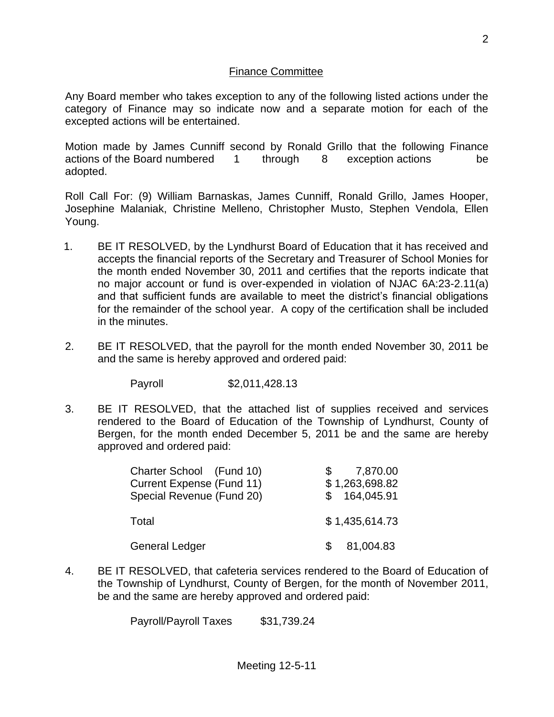### Finance Committee

Any Board member who takes exception to any of the following listed actions under the category of Finance may so indicate now and a separate motion for each of the excepted actions will be entertained.

Motion made by James Cunniff second by Ronald Grillo that the following Finance actions of the Board numbered 1 through 8 exception actions be adopted.

Roll Call For: (9) William Barnaskas, James Cunniff, Ronald Grillo, James Hooper, Josephine Malaniak, Christine Melleno, Christopher Musto, Stephen Vendola, Ellen Young.

- 1. BE IT RESOLVED, by the Lyndhurst Board of Education that it has received and accepts the financial reports of the Secretary and Treasurer of School Monies for the month ended November 30, 2011 and certifies that the reports indicate that no major account or fund is over-expended in violation of NJAC 6A:23-2.11(a) and that sufficient funds are available to meet the district's financial obligations for the remainder of the school year. A copy of the certification shall be included in the minutes.
- 2. BE IT RESOLVED, that the payroll for the month ended November 30, 2011 be and the same is hereby approved and ordered paid:

Payroll \$2,011,428.13

3. BE IT RESOLVED, that the attached list of supplies received and services rendered to the Board of Education of the Township of Lyndhurst, County of Bergen, for the month ended December 5, 2011 be and the same are hereby approved and ordered paid:

| Charter School (Fund 10)         |    | 7,870.00       |
|----------------------------------|----|----------------|
| <b>Current Expense (Fund 11)</b> |    | \$1,263,698.82 |
| Special Revenue (Fund 20)        |    | \$164,045.91   |
| Total                            |    | \$1,435,614.73 |
| <b>General Ledger</b>            | S. | 81,004.83      |

4. BE IT RESOLVED, that cafeteria services rendered to the Board of Education of the Township of Lyndhurst, County of Bergen, for the month of November 2011, be and the same are hereby approved and ordered paid:

Payroll/Payroll Taxes \$31,739.24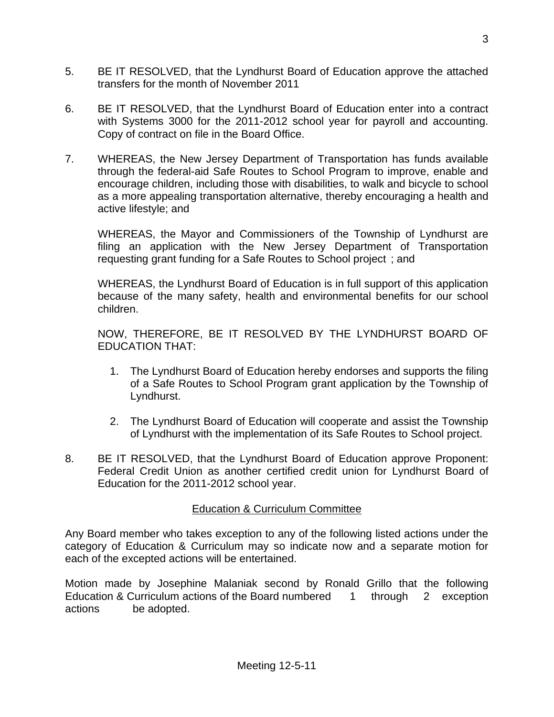- 5. BE IT RESOLVED, that the Lyndhurst Board of Education approve the attached transfers for the month of November 2011
- 6. BE IT RESOLVED, that the Lyndhurst Board of Education enter into a contract with Systems 3000 for the 2011-2012 school year for payroll and accounting. Copy of contract on file in the Board Office.
- 7. WHEREAS, the New Jersey Department of Transportation has funds available through the federal-aid Safe Routes to School Program to improve, enable and encourage children, including those with disabilities, to walk and bicycle to school as a more appealing transportation alternative, thereby encouraging a health and active lifestyle; and

WHEREAS, the Mayor and Commissioners of the Township of Lyndhurst are filing an application with the New Jersey Department of Transportation requesting grant funding for a Safe Routes to School project ; and

WHEREAS, the Lyndhurst Board of Education is in full support of this application because of the many safety, health and environmental benefits for our school children.

NOW, THEREFORE, BE IT RESOLVED BY THE LYNDHURST BOARD OF EDUCATION THAT:

- 1. The Lyndhurst Board of Education hereby endorses and supports the filing of a Safe Routes to School Program grant application by the Township of Lyndhurst.
- 2. The Lyndhurst Board of Education will cooperate and assist the Township of Lyndhurst with the implementation of its Safe Routes to School project.
- 8. BE IT RESOLVED, that the Lyndhurst Board of Education approve Proponent: Federal Credit Union as another certified credit union for Lyndhurst Board of Education for the 2011-2012 school year.

### Education & Curriculum Committee

Any Board member who takes exception to any of the following listed actions under the category of Education & Curriculum may so indicate now and a separate motion for each of the excepted actions will be entertained.

Motion made by Josephine Malaniak second by Ronald Grillo that the following Education & Curriculum actions of the Board numbered 1 through 2 exception actions be adopted.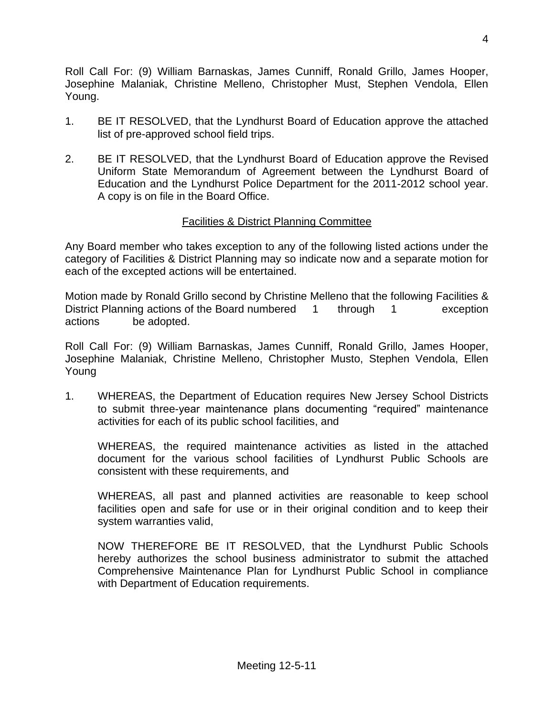Roll Call For: (9) William Barnaskas, James Cunniff, Ronald Grillo, James Hooper, Josephine Malaniak, Christine Melleno, Christopher Must, Stephen Vendola, Ellen Young.

- 1. BE IT RESOLVED, that the Lyndhurst Board of Education approve the attached list of pre-approved school field trips.
- 2. BE IT RESOLVED, that the Lyndhurst Board of Education approve the Revised Uniform State Memorandum of Agreement between the Lyndhurst Board of Education and the Lyndhurst Police Department for the 2011-2012 school year. A copy is on file in the Board Office.

# Facilities & District Planning Committee

Any Board member who takes exception to any of the following listed actions under the category of Facilities & District Planning may so indicate now and a separate motion for each of the excepted actions will be entertained.

Motion made by Ronald Grillo second by Christine Melleno that the following Facilities & District Planning actions of the Board numbered 1 through 1 exception actions be adopted.

Roll Call For: (9) William Barnaskas, James Cunniff, Ronald Grillo, James Hooper, Josephine Malaniak, Christine Melleno, Christopher Musto, Stephen Vendola, Ellen Young

1. WHEREAS, the Department of Education requires New Jersey School Districts to submit three-year maintenance plans documenting "required" maintenance activities for each of its public school facilities, and

WHEREAS, the required maintenance activities as listed in the attached document for the various school facilities of Lyndhurst Public Schools are consistent with these requirements, and

WHEREAS, all past and planned activities are reasonable to keep school facilities open and safe for use or in their original condition and to keep their system warranties valid,

NOW THEREFORE BE IT RESOLVED, that the Lyndhurst Public Schools hereby authorizes the school business administrator to submit the attached Comprehensive Maintenance Plan for Lyndhurst Public School in compliance with Department of Education requirements.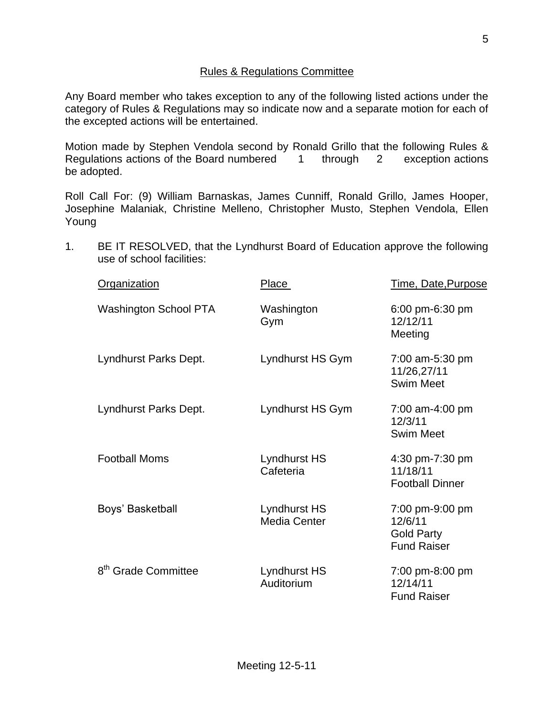### Rules & Regulations Committee

Any Board member who takes exception to any of the following listed actions under the category of Rules & Regulations may so indicate now and a separate motion for each of the excepted actions will be entertained.

Motion made by Stephen Vendola second by Ronald Grillo that the following Rules & Regulations actions of the Board numbered 1 through 2 exception actions be adopted.

Roll Call For: (9) William Barnaskas, James Cunniff, Ronald Grillo, James Hooper, Josephine Malaniak, Christine Melleno, Christopher Musto, Stephen Vendola, Ellen Young

1. BE IT RESOLVED, that the Lyndhurst Board of Education approve the following use of school facilities:

| <b>Organization</b>             | Place                               | Time, Date, Purpose                                                   |
|---------------------------------|-------------------------------------|-----------------------------------------------------------------------|
| <b>Washington School PTA</b>    | Washington<br>Gym                   | 6:00 pm-6:30 pm<br>12/12/11<br>Meeting                                |
| Lyndhurst Parks Dept.           | Lyndhurst HS Gym                    | 7:00 am-5:30 pm<br>11/26,27/11<br><b>Swim Meet</b>                    |
| Lyndhurst Parks Dept.           | Lyndhurst HS Gym                    | 7:00 am-4:00 pm<br>12/3/11<br><b>Swim Meet</b>                        |
| <b>Football Moms</b>            | <b>Lyndhurst HS</b><br>Cafeteria    | 4:30 pm-7:30 pm<br>11/18/11<br><b>Football Dinner</b>                 |
| Boys' Basketball                | Lyndhurst HS<br><b>Media Center</b> | 7:00 pm-9:00 pm<br>12/6/11<br><b>Gold Party</b><br><b>Fund Raiser</b> |
| 8 <sup>th</sup> Grade Committee | Lyndhurst HS<br>Auditorium          | 7:00 pm-8:00 pm<br>12/14/11<br><b>Fund Raiser</b>                     |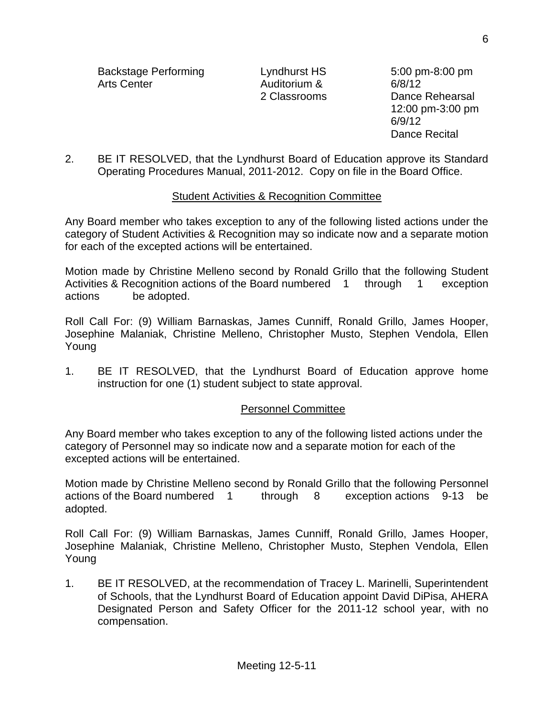Backstage Performing The Lyndhurst HS 5:00 pm-8:00 pm Arts Center Auditorium & 6/8/12

2 Classrooms Dance Rehearsal 12:00 pm-3:00 pm 6/9/12 Dance Recital

2. BE IT RESOLVED, that the Lyndhurst Board of Education approve its Standard Operating Procedures Manual, 2011-2012. Copy on file in the Board Office.

#### Student Activities & Recognition Committee

Any Board member who takes exception to any of the following listed actions under the category of Student Activities & Recognition may so indicate now and a separate motion for each of the excepted actions will be entertained.

Motion made by Christine Melleno second by Ronald Grillo that the following Student Activities & Recognition actions of the Board numbered 1 through 1 exception actions be adopted.

Roll Call For: (9) William Barnaskas, James Cunniff, Ronald Grillo, James Hooper, Josephine Malaniak, Christine Melleno, Christopher Musto, Stephen Vendola, Ellen Young

1. BE IT RESOLVED, that the Lyndhurst Board of Education approve home instruction for one (1) student subject to state approval.

### Personnel Committee

Any Board member who takes exception to any of the following listed actions under the category of Personnel may so indicate now and a separate motion for each of the excepted actions will be entertained.

Motion made by Christine Melleno second by Ronald Grillo that the following Personnel actions of the Board numbered 1 through 8 exception actions 9-13 be adopted.

Roll Call For: (9) William Barnaskas, James Cunniff, Ronald Grillo, James Hooper, Josephine Malaniak, Christine Melleno, Christopher Musto, Stephen Vendola, Ellen Young

1. BE IT RESOLVED, at the recommendation of Tracey L. Marinelli, Superintendent of Schools, that the Lyndhurst Board of Education appoint David DiPisa, AHERA Designated Person and Safety Officer for the 2011-12 school year, with no compensation.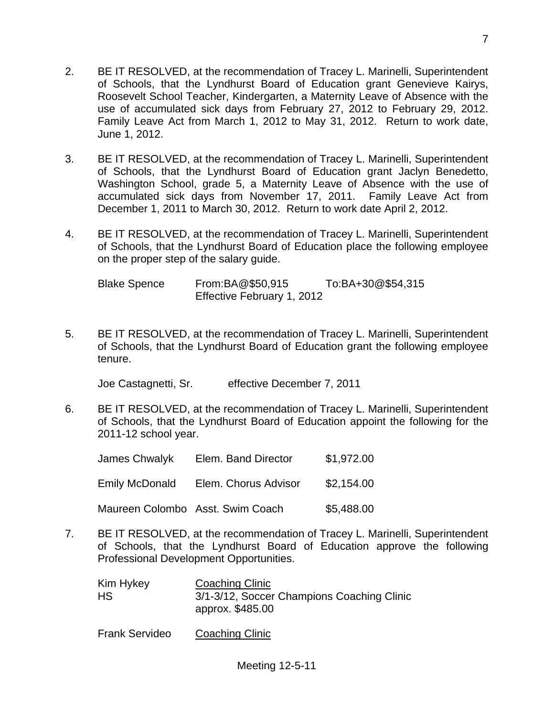- 2. BE IT RESOLVED, at the recommendation of Tracey L. Marinelli, Superintendent of Schools, that the Lyndhurst Board of Education grant Genevieve Kairys, Roosevelt School Teacher, Kindergarten, a Maternity Leave of Absence with the use of accumulated sick days from February 27, 2012 to February 29, 2012. Family Leave Act from March 1, 2012 to May 31, 2012. Return to work date, June 1, 2012.
- 3. BE IT RESOLVED, at the recommendation of Tracey L. Marinelli, Superintendent of Schools, that the Lyndhurst Board of Education grant Jaclyn Benedetto, Washington School, grade 5, a Maternity Leave of Absence with the use of accumulated sick days from November 17, 2011. Family Leave Act from December 1, 2011 to March 30, 2012. Return to work date April 2, 2012.
- 4. BE IT RESOLVED, at the recommendation of Tracey L. Marinelli, Superintendent of Schools, that the Lyndhurst Board of Education place the following employee on the proper step of the salary guide.

Blake Spence From:BA@\$50,915 To:BA+30@\$54,315 Effective February 1, 2012

5. BE IT RESOLVED, at the recommendation of Tracey L. Marinelli, Superintendent of Schools, that the Lyndhurst Board of Education grant the following employee tenure.

Joe Castagnetti, Sr. effective December 7, 2011

6. BE IT RESOLVED, at the recommendation of Tracey L. Marinelli, Superintendent of Schools, that the Lyndhurst Board of Education appoint the following for the 2011-12 school year.

| James Chwalyk         | Elem. Band Director              | \$1,972.00 |
|-----------------------|----------------------------------|------------|
| <b>Emily McDonald</b> | Elem. Chorus Advisor             | \$2,154.00 |
|                       | Maureen Colombo Asst. Swim Coach | \$5,488.00 |

7. BE IT RESOLVED, at the recommendation of Tracey L. Marinelli, Superintendent of Schools, that the Lyndhurst Board of Education approve the following Professional Development Opportunities.

| Kim Hykey | Coaching Clinic                                                |
|-----------|----------------------------------------------------------------|
| HS        | 3/1-3/12, Soccer Champions Coaching Clinic<br>approx. \$485.00 |

Frank Servideo Coaching Clinic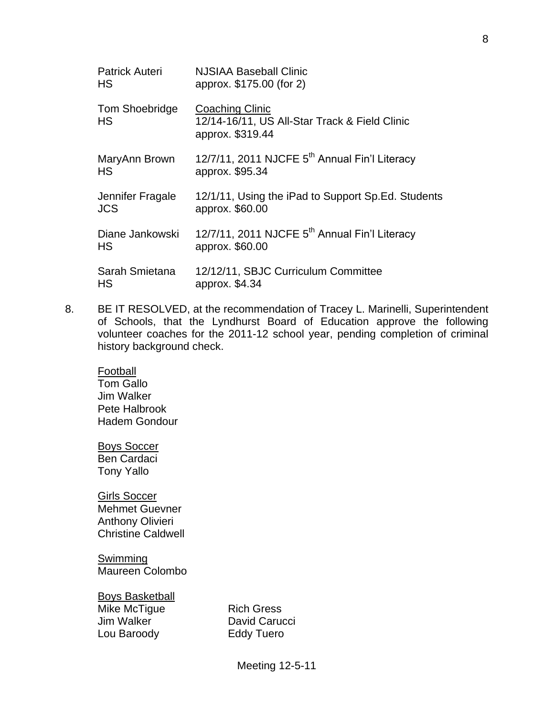| <b>Patrick Auteri</b> | NJSIAA Baseball Clinic                                                                      |
|-----------------------|---------------------------------------------------------------------------------------------|
| HS                    | approx. \$175.00 (for 2)                                                                    |
| Tom Shoebridge<br>HS  | <b>Coaching Clinic</b><br>12/14-16/11, US All-Star Track & Field Clinic<br>approx. \$319.44 |
| MaryAnn Brown         | 12/7/11, 2011 NJCFE 5 <sup>th</sup> Annual Fin'l Literacy                                   |
| <b>HS</b>             | approx. \$95.34                                                                             |
| Jennifer Fragale      | 12/1/11, Using the iPad to Support Sp. Ed. Students                                         |
| <b>JCS</b>            | approx. \$60.00                                                                             |
| Diane Jankowski       | 12/7/11, 2011 NJCFE 5 <sup>th</sup> Annual Fin'l Literacy                                   |
| НS                    | approx. \$60.00                                                                             |
| Sarah Smietana        | 12/12/11, SBJC Curriculum Committee                                                         |
| HS                    | approx. \$4.34                                                                              |

8. BE IT RESOLVED, at the recommendation of Tracey L. Marinelli, Superintendent of Schools, that the Lyndhurst Board of Education approve the following volunteer coaches for the 2011-12 school year, pending completion of criminal history background check.

Football Tom Gallo Jim Walker Pete Halbrook Hadem Gondour

Boys Soccer Ben Cardaci Tony Yallo

Girls Soccer Mehmet Guevner Anthony Olivieri Christine Caldwell

**Swimming** Maureen Colombo

Boys Basketball

Lou Baroody Eddy Tuero

Mike McTigue Rich Gress Jim Walker **David Carucci**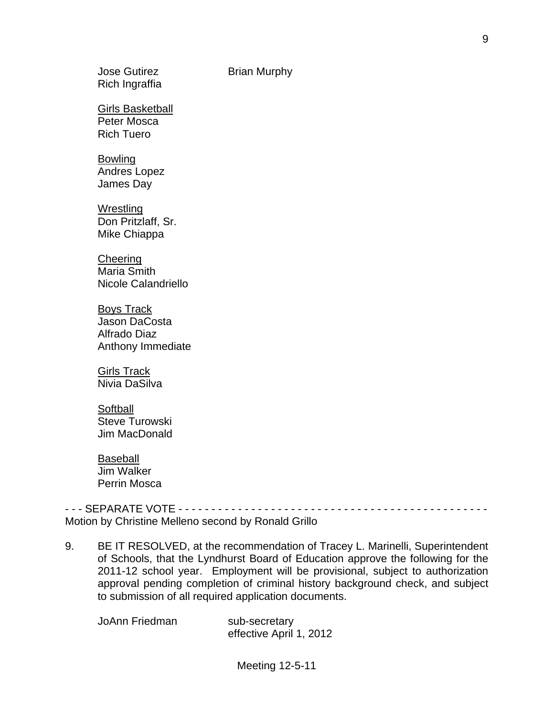Girls Basketball Peter Mosca

Rich Tuero

# Bowling

Andres Lopez James Day

**Wrestling** Don Pritzlaff, Sr. Mike Chiappa

**Cheering** Maria Smith Nicole Calandriello

Boys Track Jason DaCosta Alfrado Diaz Anthony Immediate

Girls Track Nivia DaSilva

**Softball** Steve Turowski Jim MacDonald

Baseball Jim Walker Perrin Mosca

- - - SEPARATE VOTE - - - - - - - - - - - - - - - - - - - - - - - - - - - - - - - - - - - - - - - - - - - - - - - Motion by Christine Melleno second by Ronald Grillo

9. BE IT RESOLVED, at the recommendation of Tracey L. Marinelli, Superintendent of Schools, that the Lyndhurst Board of Education approve the following for the 2011-12 school year. Employment will be provisional, subject to authorization approval pending completion of criminal history background check, and subject to submission of all required application documents.

JoAnn Friedman sub-secretary

effective April 1, 2012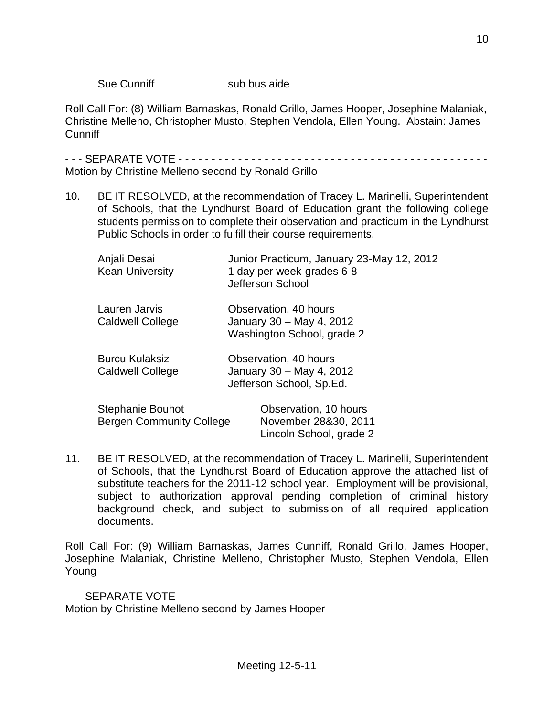### Sue Cunniff sub bus aide

Roll Call For: (8) William Barnaskas, Ronald Grillo, James Hooper, Josephine Malaniak, Christine Melleno, Christopher Musto, Stephen Vendola, Ellen Young. Abstain: James Cunniff

- - - SEPARATE VOTE - - - - - - - - - - - - - - - - - - - - - - - - - - - - - - - - - - - - - - - - - - - - - - - Motion by Christine Melleno second by Ronald Grillo

10. BE IT RESOLVED, at the recommendation of Tracey L. Marinelli, Superintendent of Schools, that the Lyndhurst Board of Education grant the following college students permission to complete their observation and practicum in the Lyndhurst Public Schools in order to fulfill their course requirements.

| Anjali Desai<br><b>Kean University</b>              | Junior Practicum, January 23-May 12, 2012<br>1 day per week-grades 6-8<br>Jefferson School |
|-----------------------------------------------------|--------------------------------------------------------------------------------------------|
| Lauren Jarvis<br><b>Caldwell College</b>            | Observation, 40 hours<br>January 30 - May 4, 2012<br>Washington School, grade 2            |
| <b>Burcu Kulaksiz</b><br><b>Caldwell College</b>    | Observation, 40 hours<br>January 30 - May 4, 2012<br>Jefferson School, Sp.Ed.              |
| Stephanie Bouhot<br><b>Bergen Community College</b> | Observation, 10 hours<br>November 28&30, 2011<br>Lincoln School, grade 2                   |

11. BE IT RESOLVED, at the recommendation of Tracey L. Marinelli, Superintendent of Schools, that the Lyndhurst Board of Education approve the attached list of substitute teachers for the 2011-12 school year. Employment will be provisional, subject to authorization approval pending completion of criminal history background check, and subject to submission of all required application documents.

Roll Call For: (9) William Barnaskas, James Cunniff, Ronald Grillo, James Hooper, Josephine Malaniak, Christine Melleno, Christopher Musto, Stephen Vendola, Ellen Young

- - - SEPARATE VOTE - - - - - - - - - - - - - - - - - - - - - - - - - - - - - - - - - - - - - - - - - - - - - - - Motion by Christine Melleno second by James Hooper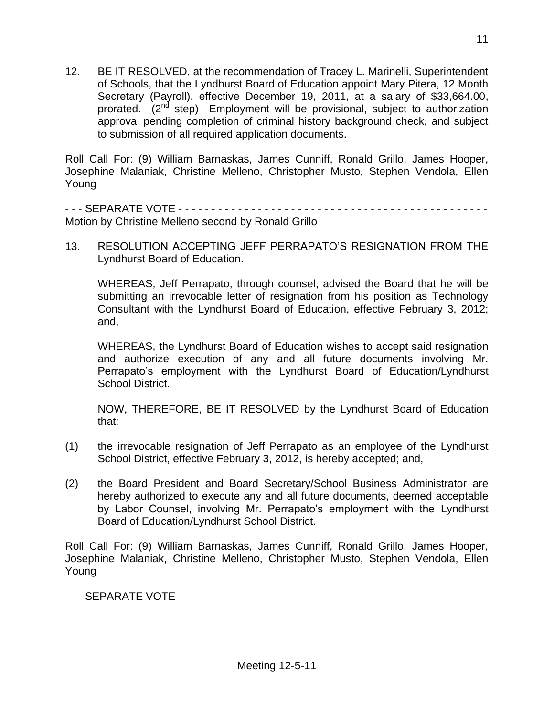12. BE IT RESOLVED, at the recommendation of Tracey L. Marinelli, Superintendent of Schools, that the Lyndhurst Board of Education appoint Mary Pitera, 12 Month Secretary (Payroll), effective December 19, 2011, at a salary of \$33,664.00, prorated. (2<sup>nd</sup> step) Employment will be provisional, subject to authorization approval pending completion of criminal history background check, and subject to submission of all required application documents.

Roll Call For: (9) William Barnaskas, James Cunniff, Ronald Grillo, James Hooper, Josephine Malaniak, Christine Melleno, Christopher Musto, Stephen Vendola, Ellen Young

- - - SEPARATE VOTE - - - - - - - - - - - - - - - - - - - - - - - - - - - - - - - - - - - - - - - - - - - - - - - Motion by Christine Melleno second by Ronald Grillo

13. RESOLUTION ACCEPTING JEFF PERRAPATO'S RESIGNATION FROM THE Lyndhurst Board of Education.

WHEREAS, Jeff Perrapato, through counsel, advised the Board that he will be submitting an irrevocable letter of resignation from his position as Technology Consultant with the Lyndhurst Board of Education, effective February 3, 2012; and,

WHEREAS, the Lyndhurst Board of Education wishes to accept said resignation and authorize execution of any and all future documents involving Mr. Perrapato's employment with the Lyndhurst Board of Education/Lyndhurst School District.

NOW, THEREFORE, BE IT RESOLVED by the Lyndhurst Board of Education that:

- (1) the irrevocable resignation of Jeff Perrapato as an employee of the Lyndhurst School District, effective February 3, 2012, is hereby accepted; and,
- (2) the Board President and Board Secretary/School Business Administrator are hereby authorized to execute any and all future documents, deemed acceptable by Labor Counsel, involving Mr. Perrapato's employment with the Lyndhurst Board of Education/Lyndhurst School District.

Roll Call For: (9) William Barnaskas, James Cunniff, Ronald Grillo, James Hooper, Josephine Malaniak, Christine Melleno, Christopher Musto, Stephen Vendola, Ellen Young

- - - SEPARATE VOTE - - - - - - - - - - - - - - - - - - - - - - - - - - - - - - - - - - - - - - - - - - - - - - -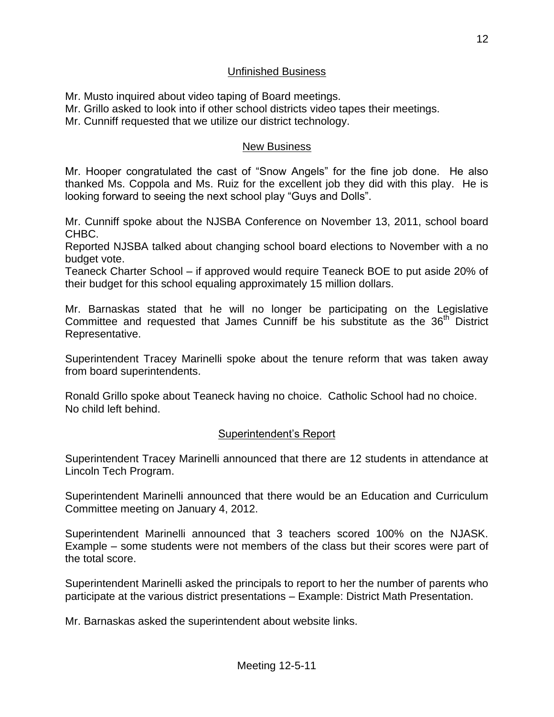### Unfinished Business

Mr. Musto inquired about video taping of Board meetings.

Mr. Grillo asked to look into if other school districts video tapes their meetings.

Mr. Cunniff requested that we utilize our district technology.

# New Business

Mr. Hooper congratulated the cast of "Snow Angels" for the fine job done. He also thanked Ms. Coppola and Ms. Ruiz for the excellent job they did with this play. He is looking forward to seeing the next school play "Guys and Dolls".

Mr. Cunniff spoke about the NJSBA Conference on November 13, 2011, school board CHBC.

Reported NJSBA talked about changing school board elections to November with a no budget vote.

Teaneck Charter School – if approved would require Teaneck BOE to put aside 20% of their budget for this school equaling approximately 15 million dollars.

Mr. Barnaskas stated that he will no longer be participating on the Legislative Committee and requested that James Cunniff be his substitute as the 36<sup>th</sup> District Representative.

Superintendent Tracey Marinelli spoke about the tenure reform that was taken away from board superintendents.

Ronald Grillo spoke about Teaneck having no choice. Catholic School had no choice. No child left behind.

# Superintendent's Report

Superintendent Tracey Marinelli announced that there are 12 students in attendance at Lincoln Tech Program.

Superintendent Marinelli announced that there would be an Education and Curriculum Committee meeting on January 4, 2012.

Superintendent Marinelli announced that 3 teachers scored 100% on the NJASK. Example – some students were not members of the class but their scores were part of the total score.

Superintendent Marinelli asked the principals to report to her the number of parents who participate at the various district presentations – Example: District Math Presentation.

Mr. Barnaskas asked the superintendent about website links.